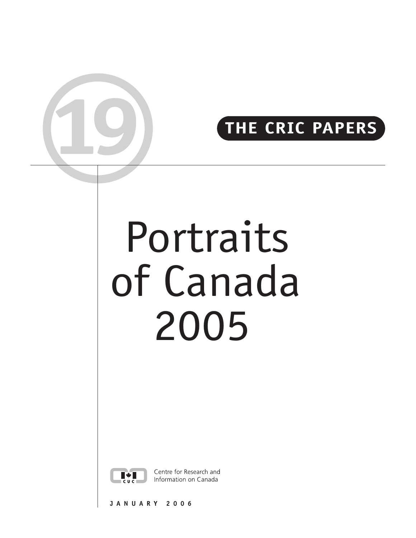# **THE CRIC PAPERS**

# Portraits of Canada 2005



**19**

Centre for Research and Information on Canada

**JANUARY 2006**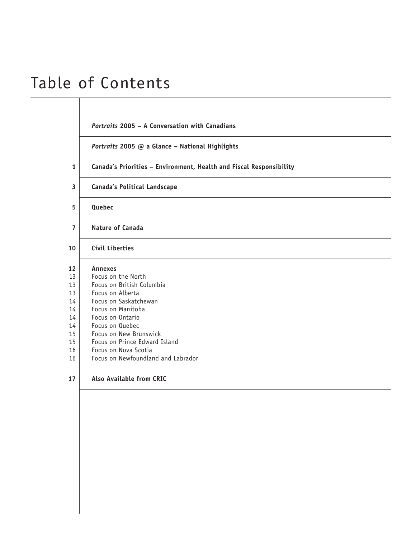# Table of Contents

# *Portraits* **[2005 – A Conversation with Canadians](#page-2-0)**

*Portraits* **[2005 @ a Glance – National Highlights](#page-3-0)**

- **1 [Canada's Priorities Environment, Health and Fiscal Responsibility](#page-4-0)**
- **3 [Canada's Political Landscape](#page-6-0)**
- **5 [Quebec](#page-8-0)**
- **7 [Nature of Canada](#page-10-0)**
- **10 [Civil Liberties](#page-13-0)**
- **12 [Annexes](#page-15-0)**
- 13 | [Focus on the North](#page-16-0)
- 13 | [Focus on British Columbia](#page-16-0)
- 13 | [Focus on Alberta](#page-16-0)
- 14 [Focus on Saskatchewan](#page-17-0)
- 14 [Focus on Manitoba](#page-17-0)
- 14 | [Focus on Ontario](#page-17-0)
- 14 [Focus on Quebec](#page-17-0)
- 15 **Focus on New Brunswick**
- 15 | [Focus on Prince Edward Island](#page-18-0)
- 16 | [Focus on Nova Scotia](#page-19-0)
- 16 | [Focus on Newfoundland and Labrador](#page-19-0)

# **17 [Also Available from CRIC](#page-20-0)**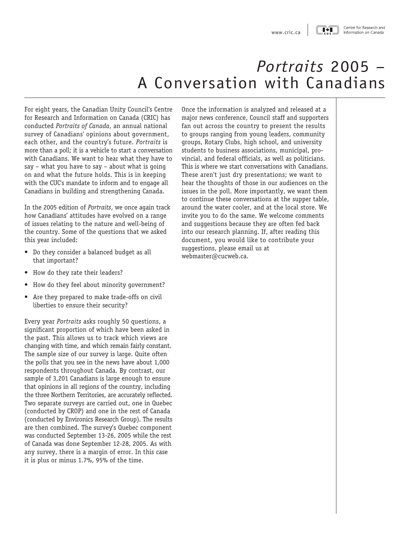$I * I$ 

### Centre for Research and Information on Canada

# *Portraits* 2005 – A Conversation with Canadians

<span id="page-2-0"></span>For eight years, the Canadian Unity Council's Centre for Research and Information on Canada (CRIC) has conducted *Portraits of Canada*, an annual national survey of Canadians' opinions about government, each other, and the country's future. *Portraits* is more than a poll; it is a vehicle to start a conversation with Canadians. We want to hear what they have to say – what you have to say – about what is going on and what the future holds. This is in keeping with the CUC's mandate to inform and to engage all Canadians in building and strengthening Canada.

In the 2005 edition of *Portraits*, we once again track how Canadians' attitudes have evolved on a range of issues relating to the nature and well-being of the country. Some of the questions that we asked this year included:

- Do they consider a balanced budget as all that important?
- How do they rate their leaders?
- How do they feel about minority government?
- Are they prepared to make trade-offs on civil liberties to ensure their security?

Every year *Portraits* asks roughly 50 questions, a significant proportion of which have been asked in the past. This allows us to track which views are changing with time, and which remain fairly constant. The sample size of our survey is large. Quite often the polls that you see in the news have about 1,000 respondents throughout Canada. By contrast, our sample of 3,201 Canadians is large enough to ensure that opinions in all regions of the country, including the three Northern Territories, are accurately reflected. Two separate surveys are carried out, one in Quebec (conducted by CROP) and one in the rest of Canada (conducted by Environics Research Group). The results are then combined. The survey's Quebec component was conducted September 13-26, 2005 while the rest of Canada was done September 12-28, 2005. As with any survey, there is a margin of error. In this case it is plus or minus 1.7%, 95% of the time.

Once the information is analyzed and released at a major news conference, Council staff and supporters fan out across the country to present the results to groups ranging from young leaders, community groups, Rotary Clubs, high school, and university students to business associations, municipal, provincial, and federal officials, as well as politicians. This is where we start conversations with Canadians. These aren't just dry presentations; we want to hear the thoughts of those in our audiences on the issues in the poll. More importantly, we want them to continue these conversations at the supper table, around the water cooler, and at the local store. We invite you to do the same. We welcome comments and suggestions because they are often fed back into our research planning. If, after reading this document, you would like to contribute your suggestions, please email us at [webmaster@cucweb.ca](mailto: webmaster@cucweb.ca).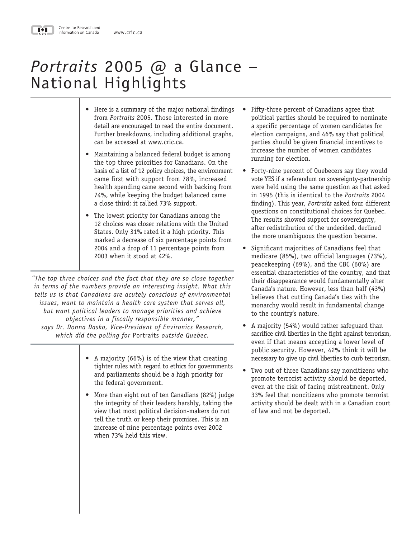# *Portraits* 2005 @ a Glance *–* National Highlights

- Here is a summary of the major national findings from *Portraits* 2005. Those interested in more detail are encouraged to read the entire document. Further breakdowns, including additional graphs, can be accessed a[t www.cric.ca.](http://www.cric.ca/en_html/index.html)
- Maintaining a balanced federal budget is among the top three priorities for Canadians. On the basis of a list of 12 policy choices, the environment came first with support from 78%, increased health spending came second with backing from 74%, while keeping the budget balanced came a close third; it rallied 73% support.
- The lowest priority for Canadians among the 12 choices was closer relations with the United States. Only 31% rated it a high priority. This marked a decrease of six percentage points from 2004 and a drop of 11 percentage points from 2003 when it stood at 42%.

*"The top three choices and the fact that they are so close together in terms of the numbers provide an interesting insight. What this tells us is that Canadians are acutely conscious of environmental issues, want to maintain a health care system that serves all, but want political leaders to manage priorities and achieve objectives in a fiscally responsible manner," says Dr. Donna Dasko, Vice-President of Environics Research, which did the polling for* Portraits *outside Quebec.*

- A majority (66%) is of the view that creating tighter rules with regard to ethics for governments and parliaments should be a high priority for the federal government.
- More than eight out of ten Canadians (82%) judge the integrity of their leaders harshly, taking the view that most political decision-makers do not tell the truth or keep their promises. This is an increase of nine percentage points over 2002 when 73% held this view.
- Fifty-three percent of Canadians agree that political parties should be required to nominate a specific percentage of women candidates for election campaigns, and 46% say that political parties should be given financial incentives to increase the number of women candidates running for election.
- Forty-nine percent of Quebecers say they would vote YES if a referendum on sovereignty-partnership were held using the same question as that asked in 1995 (this is identical to the *Portraits* 2004 finding). This year, *Portraits* asked four different questions on constitutional choices for Quebec. The results showed support for sovereignty, after redistribution of the undecided, declined the more unambiguous the question became.
- Significant majorities of Canadians feel that medicare (85%), two official languages (73%), peacekeeping (69%), and the CBC (60%) are essential characteristics of the country, and that their disappearance would fundamentally alter Canada's nature. However, less than half (43%) believes that cutting Canada's ties with the monarchy would result in fundamental change to the country's nature.
- A majority (54%) would rather safeguard than sacrifice civil liberties in the fight against terrorism, even if that means accepting a lower level of public security. However, 42% think it will be necessary to give up civil liberties to curb terrorism.
- Two out of three Canadians say noncitizens who promote terrorist activity should be deported, even at the risk of facing mistreatment. Only 33% feel that noncitizens who promote terrorist activity should be dealt with in a Canadian court of law and not be deported.

<span id="page-3-0"></span>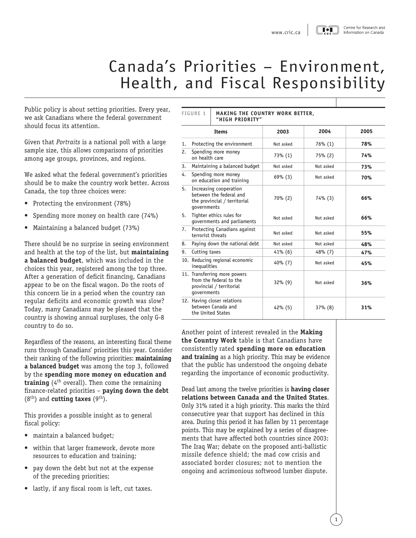### Centre for Research and Information on Canada

# Canada's Priorities – Environment, Health, and Fiscal Responsibility

<span id="page-4-0"></span>Public policy is about setting priorities. Every yea we ask Canadians where the federal government should focus its attention.

Given that *Portraits* is a national poll with a large sample size, this allows comparisons of priorities among age groups, provinces, and regions.

We asked what the federal government's priorities should be to make the country work better. Acros Canada, the top three choices were:

- Protecting the environment (78%)
- Spending more money on health care (74%)
- Maintaining a balanced budget (73%)

There should be no surprise in seeing environmen and health at the top of the list, but **maintaining a balanced budget**, which was included in the choices this year, registered among the top three. After a generation of deficit financing, Canadians appear to be on the fiscal wagon. Do the roots of this concern lie in a period when the country ran regular deficits and economic growth was slow? Today, many Canadians may be pleased that the country is showing annual surpluses, the only G-8 country to do so.

Regardless of the reasons, an interesting fiscal theme runs through Canadians' priorities this year. Consider their ranking of the following priorities: **maintaining a balanced budget** was among the top 3, followed by the **spending more money on education and training** (4th overall). Then come the remaining finance-related priorities – **paying down the debt** (8<sup>th</sup>) and **cutting taxes** (9<sup>th</sup>).

This provides a possible insight as to general fiscal policy:

- maintain a balanced budget;
- within that larger framework, devote more resources to education and training;
- pay down the debt but not at the expense of the preceding priorities;
- lastly, if any fiscal room is left, cut taxes.

|    | 's Priorities - Environment,<br>h, and Fiscal Responsibility                                       | www.cric.ca | $\blacksquare\bullet\blacksquare$ | Centre for Research an<br>Information on Canada |
|----|----------------------------------------------------------------------------------------------------|-------------|-----------------------------------|-------------------------------------------------|
|    | <b>FIGURE 1</b><br><b>MAKING THE COUNTRY WORK BETTER,</b>                                          |             |                                   |                                                 |
|    | "HIGH PRIORITY"<br>Items                                                                           | 2003        | 2004                              | 2005                                            |
| 1. | Protecting the environment                                                                         | Not asked   | $76\%$ (1)                        | 78%                                             |
| 2. | Spending more money<br>on health care                                                              | 73% (1)     | 75% (2)                           | 74%                                             |
| 3. | Maintaining a balanced budget                                                                      | Not asked   | Not asked                         | 73%                                             |
| 4. | Spending more money<br>on education and training                                                   | 69% (3)     | Not asked                         | 70%                                             |
| 5. | Increasing cooperation<br>between the federal and<br>the provincial / territorial<br>qovernments   | 70% (2)     | 74% (3)                           | 66%                                             |
| 5. | Tighter ethics rules for<br>governments and parliaments                                            | Not asked   | Not asked                         | 66%                                             |
| 7. | Protecting Canadians against<br>terrorist threats                                                  | Not asked   | Not asked                         | 55%                                             |
| 8. | Paying down the national debt                                                                      | Not asked   | Not asked                         | 48%                                             |
| 9. | Cutting taxes                                                                                      | $41\%$ (6)  | $48\%$ (7)                        | 47%                                             |
|    | 10. Reducing regional economic<br>inequalities                                                     | $40\%$ (7)  | Not asked                         | 45%                                             |
|    | 11. Transferring more powers<br>from the federal to the<br>provincial / territorial<br>governments | $32\%$ (9)  | Not asked                         | 36%                                             |
|    | 12. Having closer relations<br>between Canada and<br>the United States                             | $42\%$ (5)  | $37%$ $(8)$                       | 31%                                             |

Another point of interest revealed in the **Making the Country Work** table is that Canadians have consistently rated **spending more on education and training** as a high priority. This may be evidence that the public has understood the ongoing debate regarding the importance of economic productivity.

Dead last among the twelve priorities is **having closer relations between Canada and the United States**. Only 31% rated it a high priority. This marks the third consecutive year that support has declined in this area. During this period it has fallen by 11 percentage points. This may be explained by a series of disagreements that have affected both countries since 2003: The Iraq War; debate on the proposed anti-ballistic missile defence shield; the mad cow crisis and associated border closures; not to mention the ongoing and acrimonious softwood lumber dispute.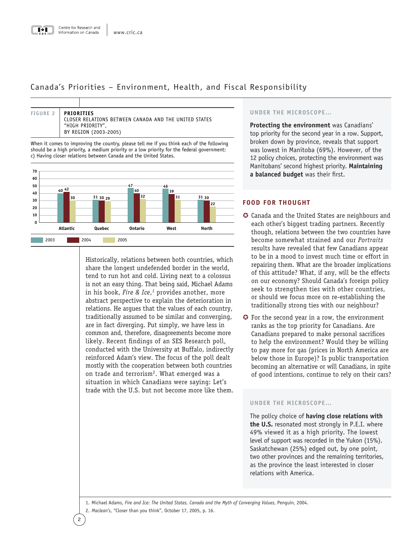# Canada's Priorities – Environment, Health, and Fiscal Responsibility



When it comes to improving the country, please tell me if you think each of the following hould be a high priority, a medium priority or a low priority for the federal government: c) Having closer relations between Canada and the United States.



Historically, relations between both countries, which share the longest undefended border in the world, tend to run hot and cold. Living next to a colossus is not an easy thing. That being said, Michael Adams in his book, *Fire & Ice*, *<sup>1</sup>* provides another, more abstract perspective to explain the deterioration in relations. He argues that the values of each country, traditionally assumed to be similar and converging, are in fact diverging. Put simply, we have less in common and, therefore, disagreements become more likely. Recent findings of an SES Research poll, conducted with the University at Buffalo, indirectly reinforced Adam's view. The focus of the poll dealt mostly with the cooperation between both countries on trade and terrorism<sup>2</sup>. What emerged was a situation in which Canadians were saying: Let's trade with the U.S. but not become more like them.

# **UNDER THE MICROSCOPE…**

**Protecting the environment** was Canadians' top priority for the second year in a row. Support, broken down by province, reveals that support was lowest in Manitoba (69%). However, of the 12 policy choices, protecting the environment was Manitobans' second highest priority. **Maintaining a balanced budget** was their first.

# **FOOD FOR THOUGHT**

- µ Canada and the United States are neighbours and each other's biggest trading partners. Recently though, relations between the two countries have become somewhat strained and our *Portraits* results have revealed that few Canadians appear to be in a mood to invest much time or effort in repairing them. What are the broader implications of this attitude? What, if any, will be the effects on our economy? Should Canada's foreign policy seek to strengthen ties with other countries, or should we focus more on re-establishing the traditionally strong ties with our neighbour?
- µ For the second year in a row, the environment ranks as the top priority for Canadians. Are Canadians prepared to make personal sacrifices to help the environment? Would they be willing to pay more for gas (prices in North America are below those in Europe)? Is public transportation becoming an alternative or will Canadians, in spite of good intentions, continue to rely on their cars?

# **UNDER THE MICROSCOPE…**

The policy choice of **having close relations with the U.S.** resonated most strongly in P.E.I. where 49% viewed it as a high priority. The lowest level of support was recorded in the Yukon (15%). Saskatchewan (25%) edged out, by one point, two other provinces and the remaining territories, as the province the least interested in closer relations with America.

1. Michael Adams, *Fire and Ice: The United States, Canada and the Myth of Converging Values*, Penguin, 2004.

2. *Maclean's*, "Closer than you think", October 17, 2005, p. 16.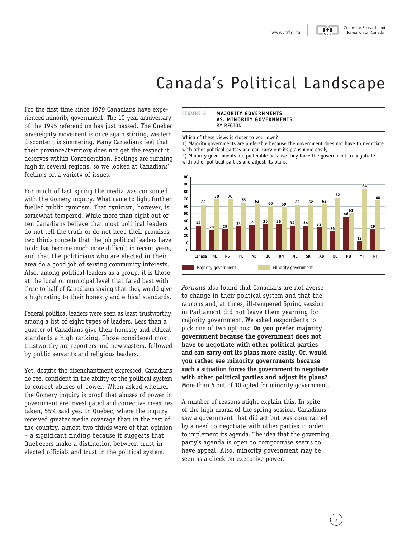# Canada's Political Landscape

<span id="page-6-0"></span>For the first time since 1979 Canadians have experienced minority government. The 10-year anniversary of the 1995 referendum has just passed. The Quebec sovereignty movement is once again stirring, western discontent is simmering. Many Canadians feel that their province/territory does not get the respect it deserves within Confederation. Feelings are running high in several regions, so we looked at Canadians' feelings on a variety of issues.

For much of last spring the media was consumed with the Gomery inquiry. What came to light further fuelled public cynicism. That cynicism, however, is somewhat tempered. While more than eight out of ten Canadians believe that most political leaders do not tell the truth or do not keep their promises, two thirds concede that the job political leaders have to do has become much more difficult in recent years, and that the politicians who are elected in their area do a good job of serving community interests. Also, among political leaders as a group, it is those at the local or municipal level that fared best with close to half of Canadians saying that they would give a high rating to their honesty and ethical standards.

Federal political leaders were seen as least trustworthy among a list of eight types of leaders. Less than a quarter of Canadians give their honesty and ethical standards a high ranking. Those considered most trustworthy are reporters and newscasters, followed by public servants and religious leaders.

Yet, despite the disenchantment expressed, Canadians do feel confident in the ability of the political system to correct abuses of power. When asked whether the Gomery inquiry is proof that abuses of power in government are investigated and corrective measures taken, 55% said yes. In Quebec, where the inquiry received greater media coverage than in the rest of the country, almost two thirds were of that opinion – a significant finding because it suggests that Quebecers make a distinction between trust in elected officials and trust in the political system.

### **FIGURE 3 MAJORITY GOVERNMENTS VS. MINORITY GOVERNMENTS**  BY REGION

Which of these views is closer to your own?

1) Majority governments are preferable because the government does not have to negotiate with other political parties and can carry out its plans more easily.

2) Minority governments are preferable because they force the government to negotiate with other political parties and adjust its plans.



*Portraits* also found that Canadians are not averse to change in their political system and that the raucous and, at times, ill-tempered Spring session in Parliament did not leave them yearning for majority government. We asked respondents to pick one of two options: **Do you prefer majority government because the government does not have to negotiate with other political parties and can carry out its plans more easily. Or, would you rather see minority governments because such a situation forces the government to negotiate with other political parties and adjust its plans?** More than 6 out of 10 opted for minority government.

A number of reasons might explain this. In spite of the high drama of the spring session, Canadians saw a government that did act but was constrained by a need to negotiate with other parties in order to implement its agenda. The idea that the governing party's agenda is open to compromise seems to have appeal. Also, minority government may be seen as a check on executive power.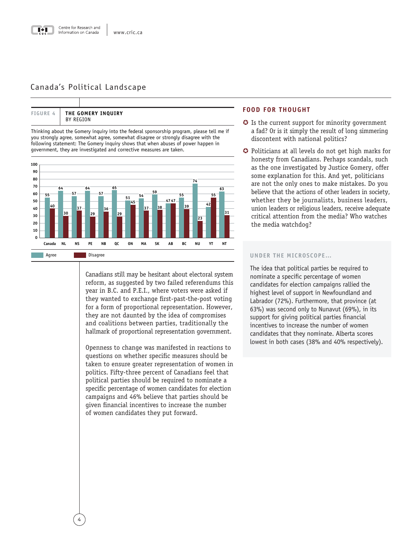# Canada's Political Landscape

| <b>FIGURE 4</b> | THE GOMERY INQUIRY<br>BY REGION |
|-----------------|---------------------------------|

Thinking about the Gomery inquiry into the federal sponsorship program, please tell me if you strongly agree, somewhat agree, somewhat disagree or strongly disagree with the following statement: The Gomery inquiry shows that when abuses of power happen in government, they are investigated and corrective measures are taken.



Canadians still may be hesitant about electoral system reform, as suggested by two failed referendums this year in B.C. and P.E.I., where voters were asked if they wanted to exchange first-past-the-post voting for a form of proportional representation. However, they are not daunted by the idea of compromises and coalitions between parties, traditionally the hallmark of proportional representation government.

Openness to change was manifested in reactions to questions on whether specific measures should be taken to ensure greater representation of women in politics. Fifty-three percent of Canadians feel that political parties should be required to nominate a specific percentage of women candidates for election campaigns and 46% believe that parties should be given financial incentives to increase the number of women candidates they put forward.

# **FOOD FOR THOUGHT**

- $\odot$  Is the current support for minority government a fad? Or is it simply the result of long simmering discontent with national politics?
- **◆** Politicians at all levels do not get high marks for honesty from Canadians. Perhaps scandals, such as the one investigated by Justice Gomery, offer some explanation for this. And yet, politicians are not the only ones to make mistakes. Do you believe that the actions of other leaders in society, whether they be journalists, business leaders, union leaders or religious leaders, receive adequate critical attention from the media? Who watches the media watchdog?

### **UNDER THE MICROSCOPE…**

The idea that political parties be required to nominate a specific percentage of women candidates for election campaigns rallied the highest level of support in Newfoundland and Labrador (72%). Furthermore, that province (at 63%) was second only to Nunavut (69%), in its support for giving political parties financial incentives to increase the number of women candidates that they nominate. Alberta scores lowest in both cases (38% and 40% respectively).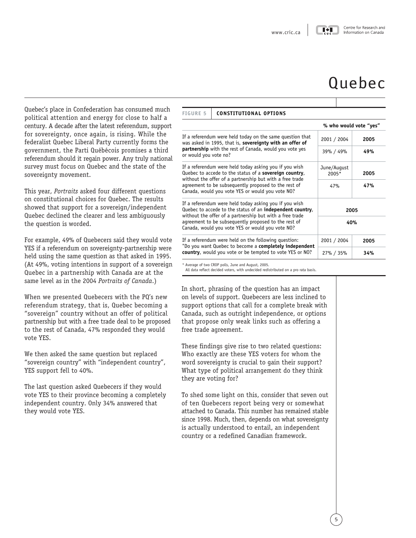# Quebec

<span id="page-8-0"></span>Quebec's place in Confederation has consumed much political attention and energy for close to half a century. A decade after the latest referendum, support for sovereignty, once again, is rising. While the federalist Quebec Liberal Party currently forms the government, the Parti Québécois promises a third referendum should it regain power. Any truly national survey must focus on Quebec and the state of the sovereignty movement.

This year, *Portraits* asked four different questions on constitutional choices for Quebec. The results showed that support for a sovereign/independent Quebec declined the clearer and less ambiguously the question is worded.

For example, 49% of Quebecers said they would vote YES if a referendum on sovereignty-partnership were held using the same question as that asked in 1995. (At 49%, voting intentions in support of a sovereign Quebec in a partnership with Canada are at the same level as in the 2004 *Portraits of Canada*.)

When we presented Quebecers with the PQ's new referendum strategy, that is, Quebec becoming a "sovereign" country without an offer of political partnership but with a free trade deal to be proposed to the rest of Canada, 47% responded they would vote YES.

We then asked the same question but replaced "sovereign country" with "independent country", YES support fell to 40%.

The last question asked Quebecers if they would vote YES to their province becoming a completely independent country. Only 34% answered that they would vote YES.

| <b>FIGURE 5</b>                                                                                                                                                                                                                                                                             | <b>CONSTITUTIONAL OPTIONS</b>                                                                                         |                        |      |  |  |
|---------------------------------------------------------------------------------------------------------------------------------------------------------------------------------------------------------------------------------------------------------------------------------------------|-----------------------------------------------------------------------------------------------------------------------|------------------------|------|--|--|
|                                                                                                                                                                                                                                                                                             |                                                                                                                       | % who would vote "yes" |      |  |  |
|                                                                                                                                                                                                                                                                                             | If a referendum were held today on the same question that<br>was asked in 1995, that is, sovereignty with an offer of | 2001 / 2004            | 2005 |  |  |
| partnership with the rest of Canada, would you vote yes<br>or would you vote no?                                                                                                                                                                                                            |                                                                                                                       | 39% / 49%              | 49%  |  |  |
|                                                                                                                                                                                                                                                                                             | If a referendum were held today asking you if you wish<br>Quebec to accede to the status of a sovereign country,      | June/August<br>2005*   | 2005 |  |  |
| without the offer of a partnership but with a free trade<br>agreement to be subsequently proposed to the rest of<br>Canada, would you vote YES or would you vote NO?                                                                                                                        |                                                                                                                       | 47%                    | 47%  |  |  |
| If a referendum were held today asking you if you wish<br>Quebec to accede to the status of an independent country,<br>without the offer of a partnership but with a free trade<br>agreement to be subsequently proposed to the rest of<br>Canada, would you vote YES or would you vote NO? |                                                                                                                       | 2005                   |      |  |  |
|                                                                                                                                                                                                                                                                                             |                                                                                                                       | 40%                    |      |  |  |
| If a referendum were held on the following question:<br>2001 / 2004<br>"Do you want Quebec to become a completely independent<br>country, would you vote or be tempted to vote YES or NO?<br>27% / 35%                                                                                      |                                                                                                                       |                        | 2005 |  |  |
|                                                                                                                                                                                                                                                                                             |                                                                                                                       | 34%                    |      |  |  |

\* Average of two CROP polls, June and August, 2005.

All data reflect decided voters, with undecided redistributed on a pro rata basis.

In short, phrasing of the question has an impact on levels of support. Quebecers are less inclined to support options that call for a complete break with Canada, such as outright independence, or options that propose only weak links such as offering a free trade agreement.

These findings give rise to two related questions: Who exactly are these YES voters for whom the word sovereignty is crucial to gain their support? What type of political arrangement do they think they are voting for?

To shed some light on this, consider that seven out of ten Quebecers report being very or somewhat attached to Canada. This number has remained stable since 1998. Much, then, depends on what sovereignty is actually understood to entail, an independent country or a redefined Canadian framework.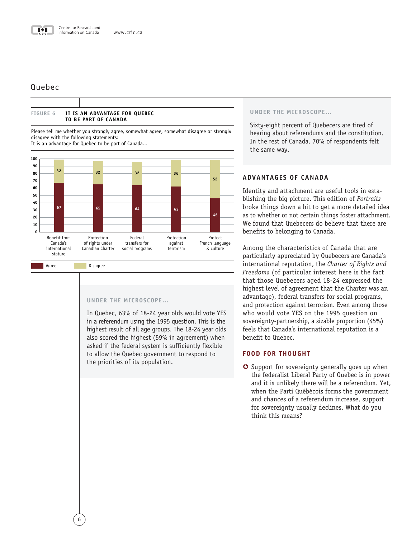**IT IS AN ADVANTAGE FOR QUEBEC** 

**TO BE PART OF CANADA**

# Quebec

**FIGURE 6**

|                |                                                      | Please tell me whether you strongly agree, somewhat agree, somewhat disagree or strongly<br>disagree with the following statements:<br>It is an advantage for Quebec to be part of Canada |                                             |                                    |                                         |
|----------------|------------------------------------------------------|-------------------------------------------------------------------------------------------------------------------------------------------------------------------------------------------|---------------------------------------------|------------------------------------|-----------------------------------------|
| 100            |                                                      |                                                                                                                                                                                           |                                             |                                    |                                         |
| 90<br>80<br>70 | 32                                                   | 32                                                                                                                                                                                        | 32                                          | 36                                 | 52                                      |
| 60<br>50<br>40 |                                                      |                                                                                                                                                                                           |                                             |                                    |                                         |
| 30<br>20<br>10 | 67                                                   | 65                                                                                                                                                                                        | 64                                          | 62                                 | 46                                      |
| 0              | Benefit from<br>Canada's<br>international<br>stature | Protection<br>of rights under<br>Canadian Charter                                                                                                                                         | Federal<br>transfers for<br>social programs | Protection<br>against<br>terrorism | Protect<br>French language<br>& culture |
|                | Agree                                                | Disagree                                                                                                                                                                                  |                                             |                                    |                                         |

# **UNDER THE MICROSCOPE…**

In Quebec, 63% of 18-24 year olds would vote YES in a referendum using the 1995 question. This is the highest result of all age groups. The 18-24 year olds also scored the highest (59% in agreement) when asked if the federal system is sufficiently flexible to allow the Quebec government to respond to the priorities of its population.

# **UNDER THE MICROSCOPE…**

Sixty-eight percent of Quebecers are tired of hearing about referendums and the constitution. In the rest of Canada, 70% of respondents felt the same way.

# **ADVANTAGES OF CANADA**

Identity and attachment are useful tools in establishing the big picture. This edition of *Portraits* broke things down a bit to get a more detailed idea as to whether or not certain things foster attachment. We found that Quebecers do believe that there are benefits to belonging to Canada.

Among the characteristics of Canada that are particularly appreciated by Quebecers are Canada's international reputation, the *Charter of Rights and Freedoms* (of particular interest here is the fact that those Quebecers aged 18-24 expressed the highest level of agreement that the Charter was an advantage), federal transfers for social programs, and protection against terrorism. Even among those who would vote YES on the 1995 question on sovereignty-partnership, a sizable proportion (45%) feels that Canada's international reputation is a benefit to Quebec.

# **FOOD FOR THOUGHT**

**◯** Support for sovereignty generally goes up when the federalist Liberal Party of Quebec is in power and it is unlikely there will be a referendum. Yet, when the Parti Québécois forms the government and chances of a referendum increase, support for sovereignty usually declines. What do you think this means?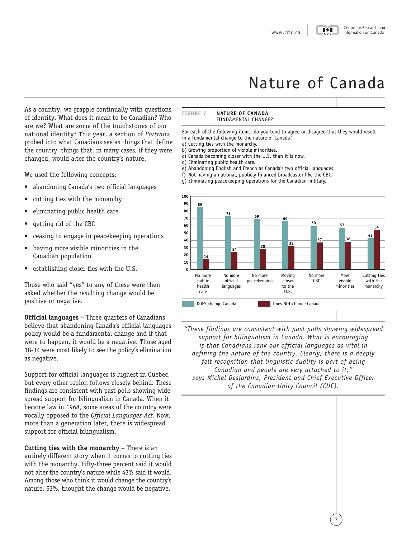### Centre for Research and Information on Canada

# Nature of Canada

<span id="page-10-0"></span>As a country, we grapple continually with questions of identity. What does it mean to be Canadian? Who are we? What are some of the touchstones of our national identity? This year, a section of *Portraits* probed into what Canadians see as things that define the country, things that, in many cases, if they were changed, would alter the country's nature.

We used the following concepts:

- abandoning Canada's two official languages
- cutting ties with the monarchy
- eliminating public health care
- getting rid of the CBC
- ceasing to engage in peacekeeping operations
- having more visible minorities in the Canadian population
- establishing closer ties with the U.S.

Those who said "yes" to any of these were then asked whether the resulting change would be positive or negative.

**Official languages** – Three quarters of Canadians believe that abandoning Canada's official languages policy would be a fundamental change and if that were to happen, it would be a negative. Those aged 18-34 were most likely to see the policy's elimination as negative.

Support for official languages is highest in Quebec, but every other region follows closely behind. These findings are consistent with past polls showing widespread support for bilingualism in Canada. When it became law in 1968, some areas of the country were vocally opposed to the *Official Languages Act*. Now, more than a generation later, there is widespread support for official bilingualism.

### **Cutting ties with the monarchy** – There is an

entirely different story when it comes to cutting ties with the monarchy. Fifty-three percent said it would not alter the country's nature while 43% said it would. Among those who think it would change the country's nature, 53%, thought the change would be negative.

# **NATURE OF CANADA NO**<br> **INDITE OF CANADA**<br> **UNDAMENTAL CHANG**<br>
ollowing items, do you<br>
change to the nature<br>
of wisible minority,<br>
of wisible minority<br>
ublic health care.

For each of the following items, do you tend to agree or disagree that they would result

- in a fundamental change to the nature of Canada
- a) Cutting ties with the monarchy.
- b) Growing proportion of visible minorities.
- c) Canada becoming closer with the U.S. than it is now.
- d) Eliminating public health care.

**FIGURE 7**

- e) Abandoning English and French as Canada's two official languages.
- f) Not having a national, publicly financed broadcaster like the CBC.
- g Eliminating peacekeeping operations for the Canadian military.



*"These findings are consistent with past polls showing widespread support for bilingualism in Canada. What is encouraging is that Canadians rank our official languages as vital in defining the nature of the country. Clearly, there is a deeply felt recognition that linguistic duality is part of being Canadian and people are very attached to it," says Michel Desjardins, President and Chief Executive Officer of the Canadian Unity Council (CUC).*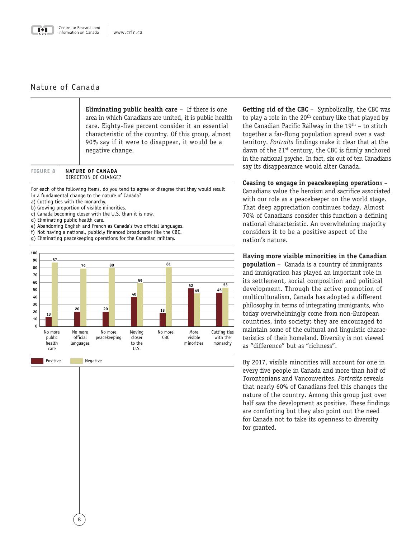

# Nature of Canada

**Eliminating public health care** – If there is one area in which Canadians are united, it is public health care. Eighty-five percent consider it an essential characteristic of the country. Of this group, almost 90% say if it were to disappear, it would be a negative change. trefor Research and<br>
Imation on Canada<br> **Eliminating**<br>
area in which<br>
care. Eighty<br>
characteristi<br>
90% say if it<br>
negative cha<br> **NATURE OF CANADA**<br>
DIRECTION OF CHANGE?<br>
following items, do you t<br>
al change to the nature

**NATURE OF CANADA** 

For each of the following items, do you tend to agree or disagree that they would result in a fundamental change to the nature of Canada?

- a) Cutting ties with the monarchy.
- b) Growing proportion of visible minorities.
- c) Canada becoming closer with the U.S. than it is now.
- d) Eliminating public health care.

**FIGURE 8**

- e) Abandoning English and French as Canada's two official languages.
- f) Not having a national, publicly financed broadcaster like the CBC.
- g) Eliminating peacekeeping operations for the Canadian military.



**Getting rid of the CBC** – Symbolically, the CBC was to play a role in the  $20<sup>th</sup>$  century like that played by the Canadian Pacific Railway in the  $19<sup>th</sup>$  – to stitch together a far-flung population spread over a vast territory. *Portraits* findings make it clear that at the dawn of the 21<sup>st</sup> century, the CBC is firmly anchored in the national psyche. In fact, six out of ten Canadians say its disappearance would alter Canada.

**Ceasing to engage in peacekeeping operation**s – Canadians value the heroism and sacrifice associated with our role as a peacekeeper on the world stage. That deep appreciation continues today. Almost 70% of Canadians consider this function a defining national characteristic. An overwhelming majority considers it to be a positive aspect of the nation's nature.

**Having more visible minorities in the Canadian population** – Canada is a country of immigrants and immigration has played an important role in its settlement, social composition and political development. Through the active promotion of multiculturalism, Canada has adopted a different philosophy in terms of integrating immigrants, who today overwhelmingly come from non-European countries, into society; they are encouraged to maintain some of the cultural and linguistic characteristics of their homeland. Diversity is not viewed as "difference" but as "richness".

By 2017, visible minorities will account for one in every five people in Canada and more than half of Torontonians and Vancouverites. *Portraits* reveals that nearly 60% of Canadians feel this changes the nature of the country. Among this group just over half saw the development as positive. These findings are comforting but they also point out the need for Canada not to take its openness to diversity for granted.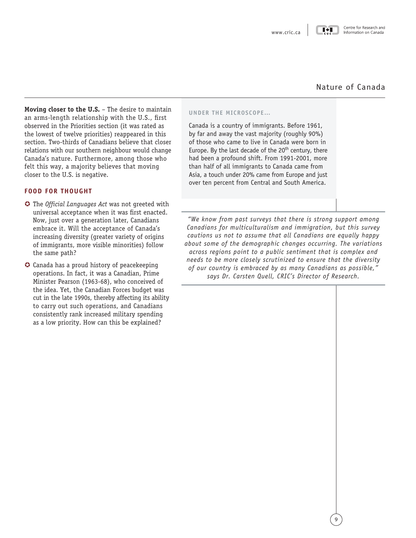# Nature of Canada

**Moving closer to the U.S.** – The desire to maintain an arms-length relationship with the U.S., first observed in the Priorities section (it was rated as the lowest of twelve priorities) reappeared in this section. Two-thirds of Canadians believe that closer relations with our southern neighbour would change Canada's nature. Furthermore, among those who felt this way, a majority believes that moving closer to the U.S. is negative.

# **FOOD FOR THOUGHT**

- **The** *Official Languages Act* was not greeted with universal acceptance when it was first enacted. Now, just over a generation later, Canadians embrace it. Will the acceptance of Canada's increasing diversity (greater variety of origins of immigrants, more visible minorities) follow the same path?
- µ Canada has a proud history of peacekeeping operations. In fact, it was a Canadian, Prime Minister Pearson (1963-68), who conceived of the idea. Yet, the Canadian Forces budget was cut in the late 1990s, thereby affecting its ability to carry out such operations, and Canadians consistently rank increased military spending as a low priority. How can this be explained?

# **UNDER THE MICROSCOPE…**

Canada is a country of immigrants. Before 1961, by far and away the vast majority (roughly 90%) of those who came to live in Canada were born in Europe. By the last decade of the  $20<sup>th</sup>$  century, there had been a profound shift. From 1991-2001, more than half of all immigrants to Canada came from Asia, a touch under 20% came from Europe and just over ten percent from Central and South America.

*"We know from past surveys that there is strong support among Canadians for multiculturalism and immigration, but this survey cautions us not to assume that all Canadians are equally happy about some of the demographic changes occurring. The variations across regions point to a public sentiment that is complex and needs to be more closely scrutinized to ensure that the diversity of our country is embraced by as many Canadians as possible," says Dr. Carsten Quell, CRIC's Director of Research.*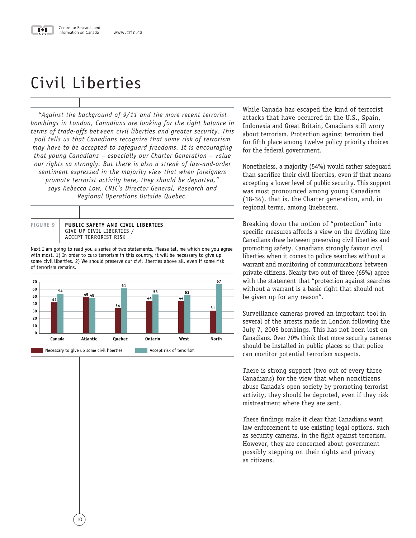# <span id="page-13-0"></span>Civil Liberties

*"Against the background of 9/11 and the more recent terrorist bombings in London, Canadians are looking for the right balance in terms of trade-offs between civil liberties and greater security. This poll tells us that Canadians recognize that some risk of terrorism may have to be accepted to safeguard freedoms. It is encouraging that young Canadians – especially our Charter Generation – value our rights so strongly. But there is also a streak of law-and-order sentiment expressed in the majority view that when foreigners promote terrorist activity here, they should be deported," says Rebecca Low, CRIC's Director General, Research and Regional Operations Outside Quebec.*



Next I am going to read you a series of two statements. Please tell me which one you agree with most. 1) In order to curb terrorism in this country, it will be necessary to give up some civil liberties. 2) We should preserve our civil liberties above all, even if some risk of terrorism remains.



While Canada has escaped the kind of terrorist attacks that have occurred in the U.S., Spain, Indonesia and Great Britain, Canadians still worry about terrorism. Protection against terrorism tied for fifth place among twelve policy priority choices for the federal government.

Nonetheless, a majority (54%) would rather safeguard than sacrifice their civil liberties, even if that means accepting a lower level of public security. This support was most pronounced among young Canadians (18-34), that is, the Charter generation, and, in regional terms, among Quebecers.

Breaking down the notion of "protection" into specific measures affords a view on the dividing line Canadians draw between preserving civil liberties and promoting safety. Canadians strongly favour civil liberties when it comes to police searches without a warrant and monitoring of communications between private citizens. Nearly two out of three (65%) agree with the statement that "protection against searches without a warrant is a basic right that should not be given up for any reason".

Surveillance cameras proved an important tool in several of the arrests made in London following the July 7, 2005 bombings. This has not been lost on Canadians. Over 70% think that more security cameras should be installed in public places so that police can monitor potential terrorism suspects.

There is strong support (two out of every three Canadians) for the view that when noncitizens abuse Canada's open society by promoting terrorist activity, they should be deported, even if they risk mistreatment where they are sent.

These findings make it clear that Canadians want law enforcement to use existing legal options, such as security cameras, in the fight against terrorism. However, they are concerned about government possibly stepping on their rights and privacy as citizens.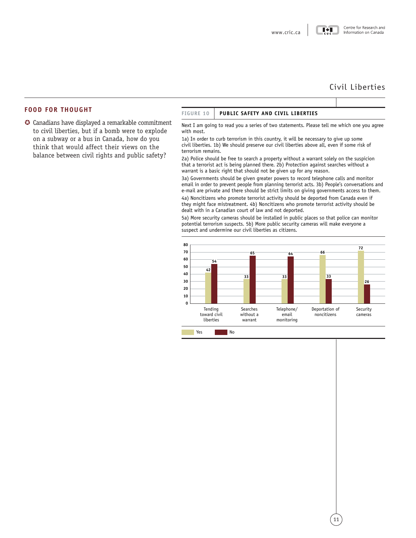# Civil Liberties

# **FOOD FOR THOUGHT**

µ Canadians have displayed a remarkable commitment to civil liberties, but if a bomb were to explode on a subway or a bus in Canada, how do you think that would affect their views on the balance between civil rights and public safety?

### **FIGURE 10 PUBLIC SAFETY AND CIVIL LIBERTIES**

Next I am going to read you a series of two statements. Please tell me which one you agree with most

1a) In order to curb terrorism in this country, it will be necessary to give up some civil liberties. 1b) We should preserve our civil liberties above all, even if some risk of terrorism remains

2a) Police should be free to search a property without a warrant solely on the suspicion that a terrorist act is being planned there. 2b) Protection against searches without a warrant is a basic right that should not be given up for any reason.

3a) Governments should be given greater powers to record telephone calls and monitor email in order to prevent people from planning terrorist acts. 3b) People's conversations and e-mail are private and there should be strict limits on giving governments access to them.

4a) Noncitizens who promote terrorist activity should be deported from Canada even if they might face mistreatment. 4b) Noncitizens who promote terrorist activity should be dealt with in a Canadian court of law and not deported.

More security cameras should be installed in public places so that police can monitor potential terrorism suspects. 5b) More public security cameras will make everyone a suspect and undermine our civil liberties as citizens

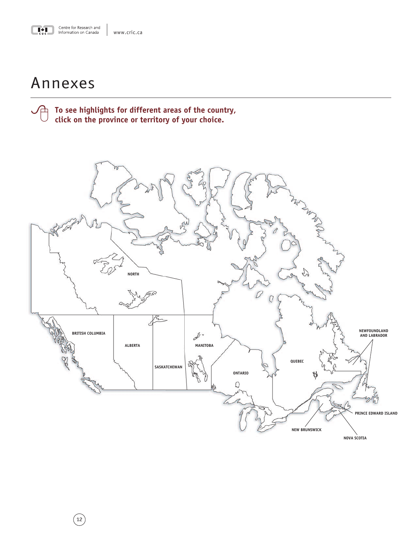<span id="page-15-0"></span>

# Annexes

 $(12)$ 

To see highlights for different areas of the country, click on the province or territory of your choice.

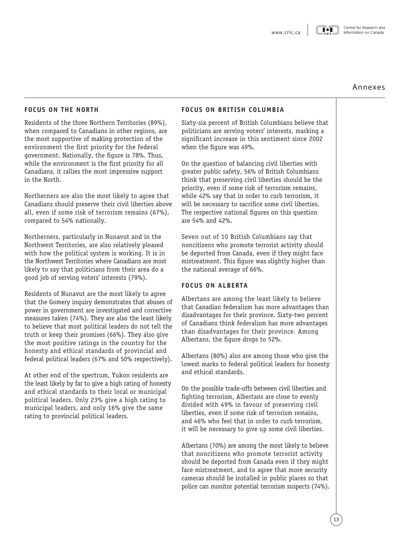### Centre for Research and Information on Canada

 $\blacksquare \bullet \blacksquare$ 

# Annexes

# <span id="page-16-0"></span>**FOCUS ON THE NORTH**

Residents of the three Northern Territories (89%), when compared to Canadians in other regions, are the most supportive of making protection of the environment the first priority for the federal government. Nationally, the figure is 78%. Thus, while the environment is the first priority for all Canadians, it rallies the most impressive support in the North.

Northerners are also the most likely to agree that Canadians should preserve their civil liberties above all, even if some risk of terrorism remains (67%), compared to 54% nationally.

Northerners, particularly in Nunavut and in the Northwest Territories, are also relatively pleased with how the political system is working. It is in the Northwest Territories where Canadians are most likely to say that politicians from their area do a good job of serving voters' interests (79%).

Residents of Nunavut are the most likely to agree that the Gomery inquiry demonstrates that abuses of power in government are investigated and corrective measures taken (74%). They are also the least likely to believe that most political leaders do not tell the truth or keep their promises (66%). They also give the most positive ratings in the country for the honesty and ethical standards of provincial and federal political leaders (67% and 50% respectively).

At other end of the spectrum, Yukon residents are the least likely by far to give a high rating of honesty and ethical standards to their local or municipal political leaders. Only 23% give a high rating to municipal leaders, and only 16% give the same rating to provincial political leaders.

# **FOCUS ON BRITISH COLUMBIA**

Sixty-six percent of British Columbians believe that politicians are serving voters' interests, marking a significant increase in this sentiment since 2002 when the figure was 49%.

On the question of balancing civil liberties with greater public safety, 56% of British Columbians think that preserving civil liberties should be the priority, even if some risk of terrorism remains, while 42% say that in order to curb terrorism, it will be necessary to sacrifice some civil liberties. The respective national figures on this question are 54% and 42%.

Seven out of 10 British Columbians say that noncitizens who promote terrorist activity should be deported from Canada, even if they might face mistreatment. This figure was slightly higher than the national average of 66%.

# **FOCUS ON ALBERTA**

Albertans are among the least likely to believe that Canadian federalism has more advantages than disadvantages for their province. Sixty-two percent of Canadians think federalism has more advantages than disadvantages for their province. Among Albertans, the figure drops to 52%.

Albertans (80%) also are among those who give the lowest marks to federal political leaders for honesty and ethical standards.

On the possible trade-offs between civil liberties and fighting terrorism, Albertans are close to evenly divided with 49% in favour of preserving civil liberties, even if some risk of terrorism remains, and 46% who feel that in order to curb terrorism, it will be necessary to give up some civil liberties.

Albertans (70%) are among the most likely to believe that noncitizens who promote terrorist activity should be deported from Canada even if they might face mistreatment, and to agree that more security cameras should be installed in public places so that police can monitor potential terrorism suspects (74%).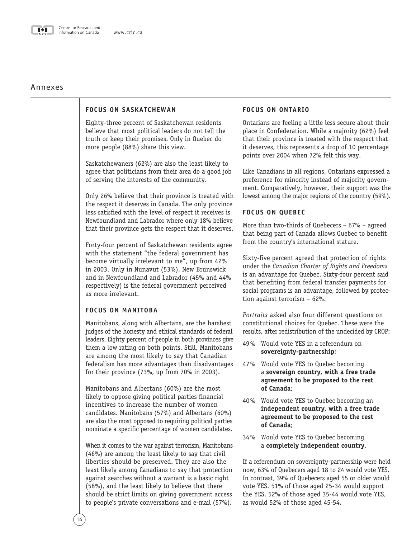<span id="page-17-0"></span>

# Annexes

# **FOCUS ON SASKATCHEWAN**

Eighty-three percent of Saskatchewan residents believe that most political leaders do not tell the truth or keep their promises. Only in Quebec do more people (88%) share this view.

Saskatchewaners (62%) are also the least likely to agree that politicians from their area do a good job of serving the interests of the community.

Only 26% believe that their province is treated with the respect it deserves in Canada. The only province less satisfied with the level of respect it receives is Newfoundland and Labrador where only 18% believe that their province gets the respect that it deserves.

Forty-four percent of Saskatchewan residents agree with the statement "the federal government has become virtually irrelevant to me", up from 42% in 2003. Only in Nunavut (53%), New Brunswick and in Newfoundland and Labrador (45% and 44% respectively) is the federal government perceived as more irrelevant.

# **FOCUS ON MANITOBA**

Manitobans, along with Albertans, are the harshest judges of the honesty and ethical standards of federal leaders. Eighty percent of people in both provinces give them a low rating on both points. Still, Manitobans are among the most likely to say that Canadian federalism has more advantages than disadvantages for their province (73%, up from 70% in 2003).

Manitobans and Albertans (60%) are the most likely to oppose giving political parties financial incentives to increase the number of women candidates. Manitobans (57%) and Albertans (60%) are also the most opposed to requiring political parties nominate a specific percentage of women candidates.

When it comes to the war against terrorism, Manitobans (46%) are among the least likely to say that civil liberties should be preserved. They are also the least likely among Canadians to say that protection against searches without a warrant is a basic right (58%), and the least likely to believe that there should be strict limits on giving government access to people's private conversations and e-mail (57%).

# **FOCUS ON ONTARIO**

Ontarians are feeling a little less secure about their place in Confederation. While a majority (62%) feel that their province is treated with the respect that it deserves, this represents a drop of 10 percentage points over 2004 when 72% felt this way.

Like Canadians in all regions, Ontarians expressed a preference for minority instead of majority government. Comparatively, however, their support was the lowest among the major regions of the country (59%).

# **FOCUS ON QUEBEC**

More than two-thirds of Quebecers – 67% – agreed that being part of Canada allows Quebec to benefit from the country's international stature.

Sixty-five percent agreed that protection of rights under the *Canadian Charter of Rights and Freedoms* is an advantage for Quebec. Sixty-four percent said that benefiting from federal transfer payments for social programs is an advantage, followed by protection against terrorism – 62%.

*Portraits* asked also four different questions on constitutional choices for Quebec. These were the results, after redistribution of the undecided by CROP:

- 49% Would vote YES in a referendum on **sovereignty-partnership**;
- 47% Would vote YES to Quebec becoming a **sovereign country, with a free trade agreement to be proposed to the rest of Canada**;
- 40% Would vote YES to Quebec becoming an **independent country, with a free trade agreement to be proposed to the rest of Canada**;
- 34% Would vote YES to Quebec becoming a **completely independent country**.

If a referendum on sovereignty-partnership were held now, 63% of Quebecers aged 18 to 24 would vote YES. In contrast, 39% of Quebecers aged 55 or older would vote YES. 51% of those aged 25-34 would support the YES, 52% of those aged 35-44 would vote YES, as would 52% of those aged 45-54.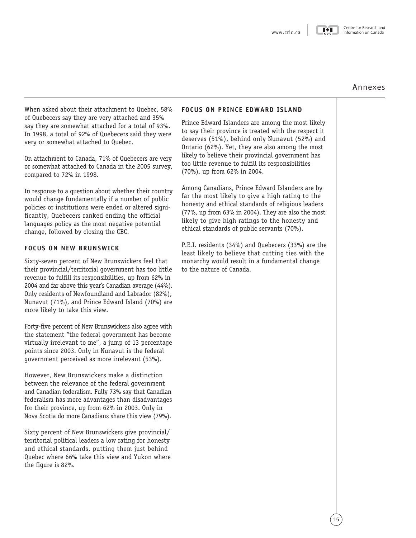$\blacksquare \bullet \blacksquare$ 

### Centre for Research and Information on Canada

# Annexes

<span id="page-18-0"></span>When asked about their attachment to Quebec, 58% of Quebecers say they are very attached and 35% say they are somewhat attached for a total of 93%. In 1998, a total of 92% of Quebecers said they were very or somewhat attached to Quebec.

On attachment to Canada, 71% of Quebecers are very or somewhat attached to Canada in the 2005 survey, compared to 72% in 1998.

In response to a question about whether their country would change fundamentally if a number of public policies or institutions were ended or altered significantly, Quebecers ranked ending the official languages policy as the most negative potential change, followed by closing the CBC.

# **FOCUS ON NEW BRUNSWICK**

Sixty-seven percent of New Brunswickers feel that their provincial/territorial government has too little revenue to fulfill its responsibilities, up from 62% in 2004 and far above this year's Canadian average (44%). Only residents of Newfoundland and Labrador (82%), Nunavut (71%), and Prince Edward Island (70%) are more likely to take this view.

Forty-five percent of New Brunswickers also agree with the statement "the federal government has become virtually irrelevant to me", a jump of 13 percentage points since 2003. Only in Nunavut is the federal government perceived as more irrelevant (53%).

However, New Brunswickers make a distinction between the relevance of the federal government and Canadian federalism. Fully 73% say that Canadian federalism has more advantages than disadvantages for their province, up from 62% in 2003. Only in Nova Scotia do more Canadians share this view (79%).

Sixty percent of New Brunswickers give provincial/ territorial political leaders a low rating for honesty and ethical standards, putting them just behind Quebec where 66% take this view and Yukon where the figure is 82%.

## **FOCUS ON PRINCE EDWARD ISLAND**

Prince Edward Islanders are among the most likely to say their province is treated with the respect it deserves (51%), behind only Nunavut (52%) and Ontario (62%). Yet, they are also among the most likely to believe their provincial government has too little revenue to fulfill its responsibilities (70%), up from 62% in 2004.

Among Canadians, Prince Edward Islanders are by far the most likely to give a high rating to the honesty and ethical standards of religious leaders (77%, up from 63% in 2004). They are also the most likely to give high ratings to the honesty and ethical standards of public servants (70%).

P.E.I. residents (34%) and Quebecers (33%) are the least likely to believe that cutting ties with the monarchy would result in a fundamental change to the nature of Canada.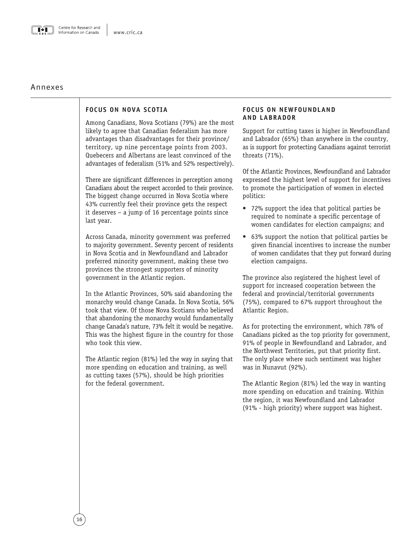<span id="page-19-0"></span>

# Annexes

# **FOCUS ON NOVA SCOTIA**

Among Canadians, Nova Scotians (79%) are the most likely to agree that Canadian federalism has more advantages than disadvantages for their province/ territory, up nine percentage points from 2003. Quebecers and Albertans are least convinced of the advantages of federalism (51% and 52% respectively).

There are significant differences in perception among Canadians about the respect accorded to their province. The biggest change occurred in Nova Scotia where 43% currently feel their province gets the respect it deserves – a jump of 16 percentage points since last year.

Across Canada, minority government was preferred to majority government. Seventy percent of residents in Nova Scotia and in Newfoundland and Labrador preferred minority government, making these two provinces the strongest supporters of minority government in the Atlantic region.

In the Atlantic Provinces, 50% said abandoning the monarchy would change Canada. In Nova Scotia, 56% took that view. Of those Nova Scotians who believed that abandoning the monarchy would fundamentally change Canada's nature, 73% felt it would be negative. This was the highest figure in the country for those who took this view.

The Atlantic region (81%) led the way in saying that more spending on education and training, as well as cutting taxes (57%), should be high priorities for the federal government.

# **FOCUS ON NEWFOUNDLAND AND LABRADOR**

Support for cutting taxes is higher in Newfoundland and Labrador (65%) than anywhere in the country, as is support for protecting Canadians against terrorist threats (71%).

Of the Atlantic Provinces, Newfoundland and Labrador expressed the highest level of support for incentives to promote the participation of women in elected politics:

- 72% support the idea that political parties be required to nominate a specific percentage of women candidates for election campaigns; and
- 63% support the notion that political parties be given financial incentives to increase the number of women candidates that they put forward during election campaigns.

The province also registered the highest level of support for increased cooperation between the federal and provincial/territorial governments (75%), compared to 67% support throughout the Atlantic Region.

As for protecting the environment, which 78% of Canadians picked as the top priority for government, 91% of people in Newfoundland and Labrador, and the Northwest Territories, put that priority first. The only place where such sentiment was higher was in Nunavut (92%).

The Atlantic Region (81%) led the way in wanting more spending on education and training. Within the region, it was Newfoundland and Labrador (91% - high priority) where support was highest.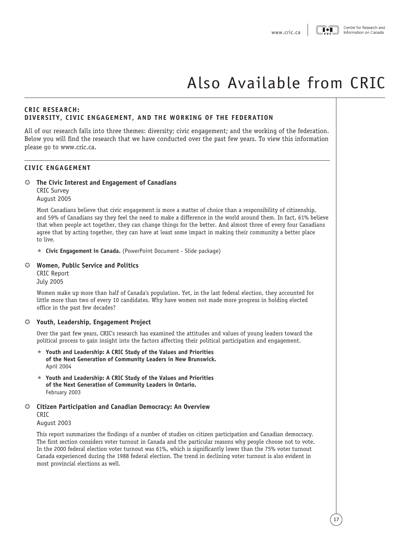# <span id="page-20-0"></span>**CRIC RESEARCH: DIVERSITY, CIVIC ENGAGEMENT, AND THE WORKING OF THE FEDERATION**

All of our research falls into three themes: diversity; civic engagement; and the working of the federation. Below you will find the research that we have conducted over the past few years. To view this information please go to www.cric.ca.

# **CIVIC ENGAGEMENT**

# µ **The Civic Interest and Engagement of Canadians**

CRIC Survey August 2005

Most Canadians believe that civic engagement is more a matter of choice than a responsibility of citizenship, and 59% of Canadians say they feel the need to make a difference in the world around them. In fact, 61% believe that when people act together, they can change things for the better. And almost three of every four Canadians agree that by acting together, they can have at least some impact in making their community a better place to live.

**★ Civic Engagement in Canada.** [\(PowerPoint Document - Slide package\)](http://www.cric.ca/pwp_re/youth_survey/youth_survey_eng.ppt)

# µ **[Women, Public Service and Politics](http://www.cric.ca/pdf_re/women_femmes/women_politics_eng.pdf)**

CRIC Report July 2005

Women make up more than half of Canada's population. Yet, in the last federal election, they accounted for little more than two of every 10 candidates. Why have women not made more progress in holding elected office in the past few decades?

## µ **Youth, Leadership, Engagement Project**

Over the past few years, CRIC's research has examined the attitudes and values of young leaders toward the political process to gain insight into the factors affecting their political participation and engagement.

- $\star$  Youth and Leadership: A CRIC Study of the Values and Priorities **of the Next Generation of Community Leaders in New Brunswick.** April 2004
- $\star$  [Youth and Leadership: A CRIC Study of the Values and Priorities](http://www.cric.ca/pwp_re/Youth_leadership/youth_and_leader_NB_en.ppt) **of the Next Generation of Community Leaders in Ontario.** February 2003

# µ **[Citizen Participation and Canadian Democracy: An Overview](http://www.cric.ca/pwp_re/cric_studies/citizen_participation_and_cdn_democracy_aug_2003.ppt)**  CRIC

August 2003

This report summarizes the findings of a number of studies on citizen participation and Canadian democracy. The first section considers voter turnout in Canada and the particular reasons why people choose not to vote. In the 2000 federal election voter turnout was 61%, which is significantly lower than the 75% voter turnout Canada experienced during the 1988 federal election. The trend in declining voter turnout is also evident in most provincial elections as well.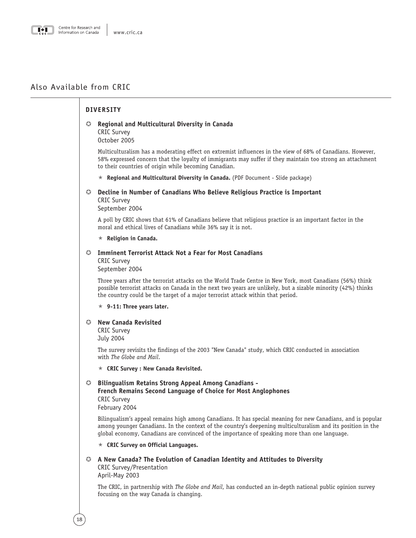# **DIVERSITY** µ **Regional and Multicultural Diversity in Canada** CRIC Survey October 2005 Multiculturalism has a moderating effect on extremist influences in the view of 68% of Canadians. However, 58% expressed concern that the loyalty of immigrants may suffer if they maintain too strong an attachment to their countries of origin while becoming Canadian. « **[Regional and Multicultural Diversity in Canada.](http://www.cric.ca/pwp_re/diversite/Diversity_en.pdf)** (PDF Document - Slide package) µ **Decline in Number of Canadians Who Believe Religious Practice is Important** CRIC Survey September 2004 A poll by CRIC shows that 61% of Canadians believe that religious practice is an important factor in the moral and ethical lives of Canadians while 36% say it is not. « **[Religion in Canada.](http://www.cric.ca/pwp_re/double_poll/religion_en.ppt)** µ **Imminent Terrorist Attack Not a Fear for Most Canadians** CRIC Survey September 2004 Three years after the terrorist attacks on the World Trade Centre in New York, most Canadians (56%) think possible terrorist attacks on Canada in the next two years are unlikely, but a sizable minority (42%) thinks the country could be the target of a major terrorist attack within that period.  $\star$  [9-11: Three years later.](http://www.cric.ca/pwp_re/double_poll/terrrorism_en.ppt) µ **New Canada Revisited** CRIC Survey July 2004 The survey revisits the findings of the 2003 "New Canada" study, which CRIC conducted in association with *The Globe and Mail*. « **[CRIC Survey : New Canada Revisited.](http://www.cric.ca/pwp_re/new_canada%20redux/New%20Canada%202%202004_ang.ppt)** µ **Bilingualism Retains Strong Appeal Among Canadians - French Remains Second Language of Choice for Most Anglophones** CRIC Survey February 2004 Bilingualism's appeal remains high among Canadians. It has special meaning for new Canadians, and is popular among younger Canadians. In the context of the country's deepening multiculturalism and its position in the global economy, Canadians are convinced of the importance of speaking more than one language. « **[CRIC Survey on Official Languages.](http://www.cric.ca/pwp_re/bilingual_poll/bilingual_poll_march2004.ppt)** µ **A [New Canada? The Evolution of Canadian Identity and Attitudes to Diversity](http://www.cric.ca/pwp_re/new_canada/new_canada_2003_slides_eng.ppt)** CRIC Survey/Presentation April-May 2003 The CRIC, in partnership with *The Globe and Mail*, has conducted an in-depth national public opinion survey focusing on the way Canada is changing.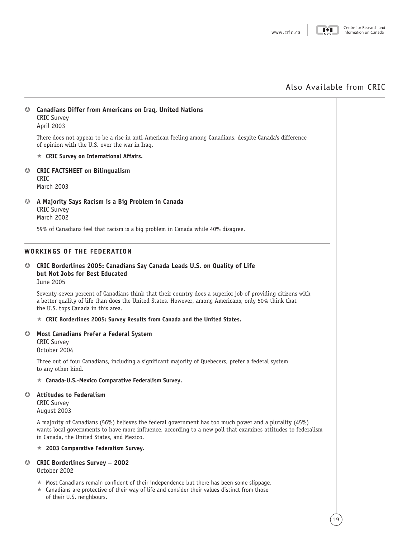|               | © Canadians Differ from Americans on Iraq, United Nations<br><b>CRIC Survey</b><br>April 2003                                                                                                                                                                        |
|---------------|----------------------------------------------------------------------------------------------------------------------------------------------------------------------------------------------------------------------------------------------------------------------|
|               | There does not appear to be a rise in anti-American feeling among Canadians, despite Canada's difference<br>of opinion with the U.S. over the war in Iraq.                                                                                                           |
|               | $\star$ CRIC Survey on International Affairs.                                                                                                                                                                                                                        |
| 0.            | <b>CRIC FACTSHEET on Bilingualism</b><br>CRIC<br>March 2003                                                                                                                                                                                                          |
| $\bm{\omega}$ | A Majority Says Racism is a Big Problem in Canada<br><b>CRIC Survey</b><br><b>March 2002</b>                                                                                                                                                                         |
|               | 59% of Canadians feel that racism is a big problem in Canada while 40% disagree.                                                                                                                                                                                     |
|               | <b>WORKINGS OF THE FEDERATION</b>                                                                                                                                                                                                                                    |
|               | C CRIC Borderlines 2005: Canadians Say Canada Leads U.S. on Quality of Life<br>but Not Jobs for Best Educated<br>June 2005                                                                                                                                           |
|               | Seventy-seven percent of Canadians think that their country does a superior job of providing citizens with<br>a better quality of life than does the United States. However, among Americans, only 50% think that<br>the U.S. tops Canada in this area.              |
|               | $\star$ CRIC Borderlines 2005: Survey Results from Canada and the United States.                                                                                                                                                                                     |
| $\omega$      | Most Canadians Prefer a Federal System<br><b>CRIC Survey</b><br>October 2004                                                                                                                                                                                         |
|               | Three out of four Canadians, including a significant majority of Quebecers, prefer a federal system<br>to any other kind.                                                                                                                                            |
|               | $\star$ Canada-U.S.-Mexico Comparative Federalism Survey.                                                                                                                                                                                                            |
| $\bm{\omega}$ | <b>Attitudes to Federalism</b><br><b>CRIC Survey</b><br>August 2003                                                                                                                                                                                                  |
|               | A majority of Canadians (56%) believes the federal government has too much power and a plurality (45%)<br>wants local governments to have more influence, according to a new poll that examines attitudes to federalism<br>in Canada, the United States, and Mexico. |
|               | 2003 Comparative Federalism Survey.<br>*                                                                                                                                                                                                                             |
| $\circ$       | <b>CRIC Borderlines Survey - 2002</b><br>October 2002                                                                                                                                                                                                                |
|               | Most Canadians remain confident of their independence but there has been some slippage.<br>★<br>$\star$ Canadians are protective of their way of life and consider their values distinct from those<br>of their U.S. neighbours.                                     |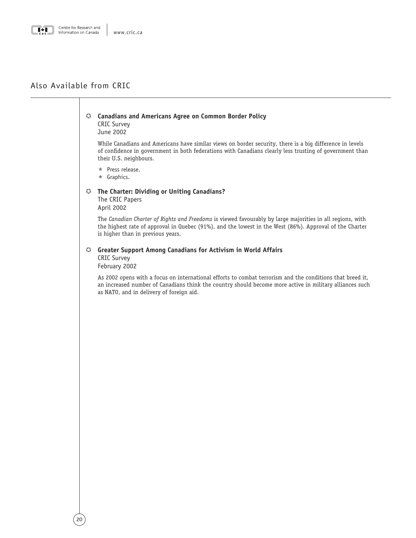

### µ **[Canadians and Americans Agree on Common Border Policy](http://www.cric.ca/pdf/cric_poll/border/border_poll_june2002.pdf)** CRIC Survey

June 2002

While Canadians and Americans have similar views on border security, there is a big difference in levels of confidence in government in both federations with Canadians clearly less trusting of government than their U.S. neighbours.

 $\star$  [Press release.](http://www.cric.ca/pdf/cric_poll/border/border_pr_june2002.pdf)

 $\star$  [Graphics.](http://www.cric.ca/pdf/cric_poll/border/border_graphs_june2002.pdf)

# µ **[The Charter: Dividing or Uniting Canadians?](http://www.cric.ca/pdf/cahiers/cricpapers_april2002.pdf)**

The CRIC Papers April 2002

The *Canadian Charter of Rights and Freedoms* is viewed favourably by large majorities in all regions, with the highest rate of approval in Quebec (91%), and the lowest in the West (86%). Approval of the Charter is higher than in previous years.

# µ **[Greater Support Among Canadians for Activism in World Affairs](http://www.cric.ca/pdf/cric_poll/worldaffairs/World_report_feb2002.pdf)**

CRIC Survey February 2002

As 2002 opens with a focus on international efforts to combat terrorism and the conditions that breed it, an increased number of Canadians think the country should become more active in military alliances such as NATO, and in delivery of foreign aid.